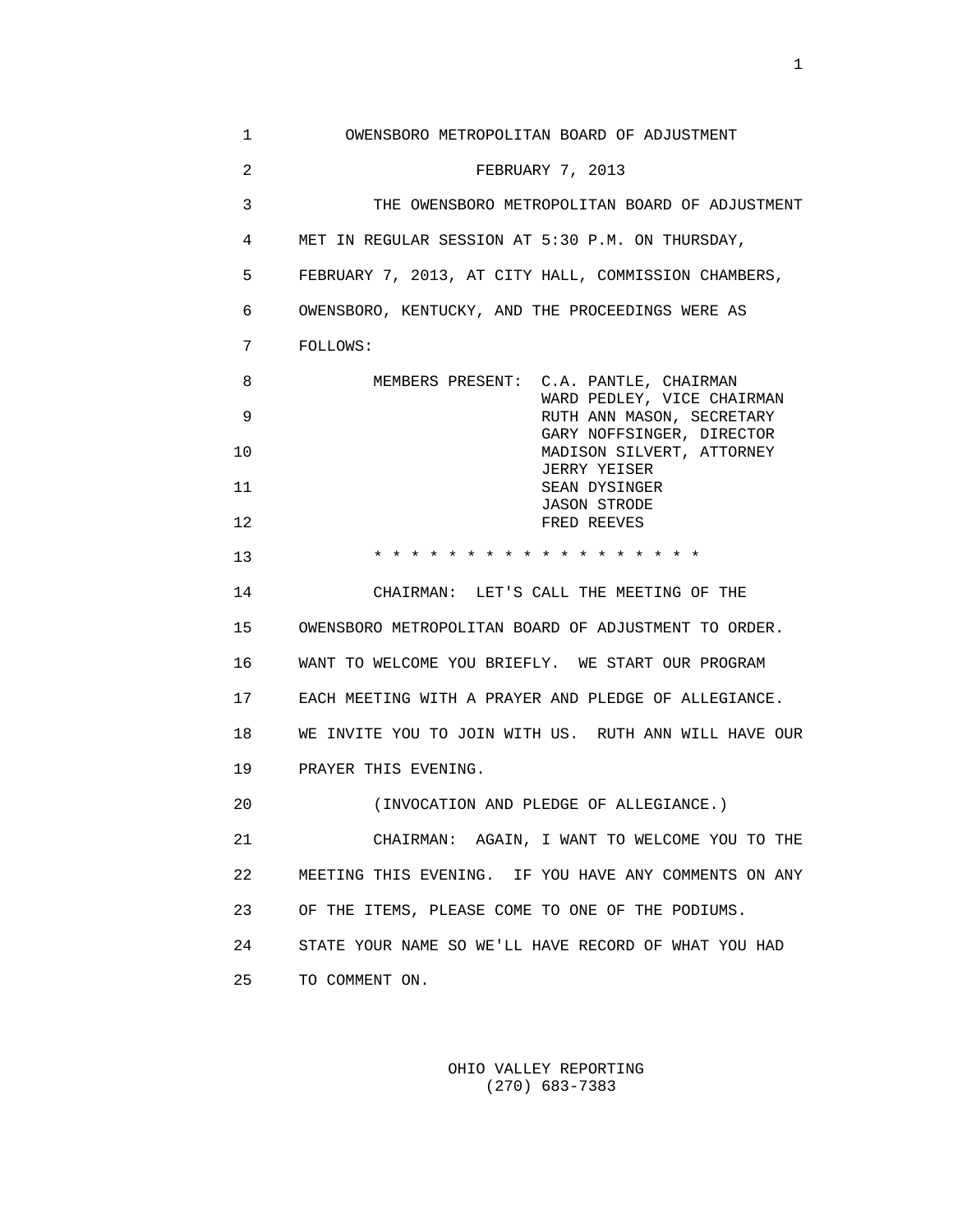| 1              | OWENSBORO METROPOLITAN BOARD OF ADJUSTMENT              |
|----------------|---------------------------------------------------------|
| $\overline{a}$ | FEBRUARY 7, 2013                                        |
| 3              | THE OWENSBORO METROPOLITAN BOARD OF ADJUSTMENT          |
| 4              | MET IN REGULAR SESSION AT 5:30 P.M. ON THURSDAY,        |
| 5              | FEBRUARY 7, 2013, AT CITY HALL, COMMISSION CHAMBERS,    |
| 6              | OWENSBORO, KENTUCKY, AND THE PROCEEDINGS WERE AS        |
| 7              | FOLLOWS:                                                |
| 8              | MEMBERS PRESENT: C.A. PANTLE, CHAIRMAN                  |
| 9              | WARD PEDLEY, VICE CHAIRMAN<br>RUTH ANN MASON, SECRETARY |
| 10             | GARY NOFFSINGER, DIRECTOR<br>MADISON SILVERT, ATTORNEY  |
| 11             | JERRY YEISER<br>SEAN DYSINGER                           |
| 12             | <b>JASON STRODE</b><br>FRED REEVES                      |
| 13             | * * * * * * * * * * * * * * * * * *                     |
| 14             | CHAIRMAN: LET'S CALL THE MEETING OF THE                 |
| 15             | OWENSBORO METROPOLITAN BOARD OF ADJUSTMENT TO ORDER.    |
| 16             | WANT TO WELCOME YOU BRIEFLY. WE START OUR PROGRAM       |
| 17             | EACH MEETING WITH A PRAYER AND PLEDGE OF ALLEGIANCE.    |
| 18             | WE INVITE YOU TO JOIN WITH US. RUTH ANN WILL HAVE OUR   |
| 19             | PRAYER THIS EVENING.                                    |
| 20             | (INVOCATION AND PLEDGE OF ALLEGIANCE.)                  |
| 21             | CHAIRMAN: AGAIN, I WANT TO WELCOME YOU TO THE           |
| 22             | MEETING THIS EVENING. IF YOU HAVE ANY COMMENTS ON ANY   |
| 23             | OF THE ITEMS, PLEASE COME TO ONE OF THE PODIUMS.        |
| 24             | STATE YOUR NAME SO WE'LL HAVE RECORD OF WHAT YOU HAD    |
| 25             | TO COMMENT ON.                                          |

 OHIO VALLEY REPORTING (270) 683-7383

the contract of the contract of the contract of the contract of the contract of the contract of the contract of the contract of the contract of the contract of the contract of the contract of the contract of the contract o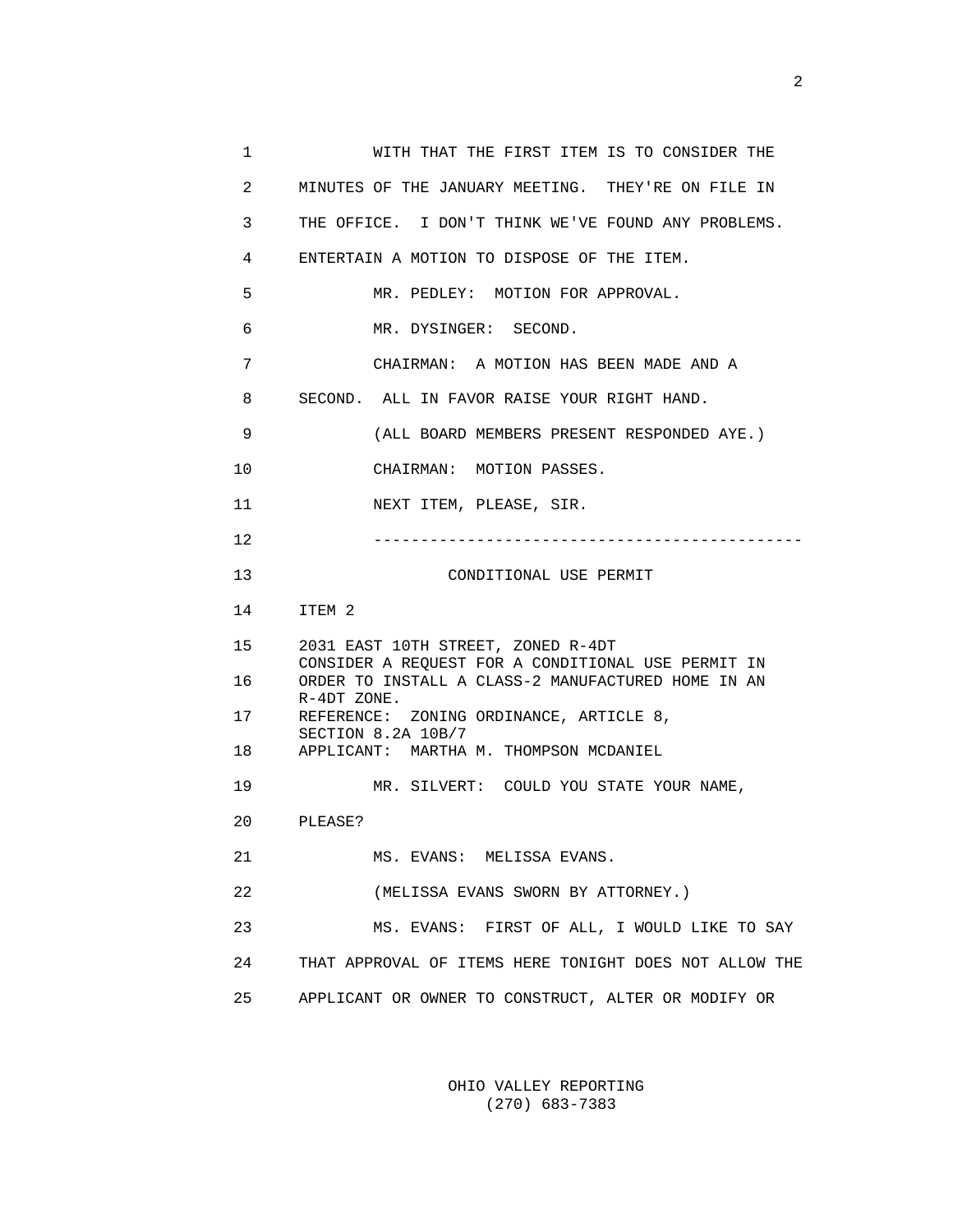1 WITH THAT THE FIRST ITEM IS TO CONSIDER THE 2 MINUTES OF THE JANUARY MEETING. THEY'RE ON FILE IN 3 THE OFFICE. I DON'T THINK WE'VE FOUND ANY PROBLEMS. 4 ENTERTAIN A MOTION TO DISPOSE OF THE ITEM. 5 MR. PEDLEY: MOTION FOR APPROVAL. 6 MR. DYSINGER: SECOND. 7 CHAIRMAN: A MOTION HAS BEEN MADE AND A 8 SECOND. ALL IN FAVOR RAISE YOUR RIGHT HAND. 9 (ALL BOARD MEMBERS PRESENT RESPONDED AYE.) 10 CHAIRMAN: MOTION PASSES. 11 NEXT ITEM, PLEASE, SIR. 12 ---------------------------------------------- 13 CONDITIONAL USE PERMIT 14 ITEM 2 15 2031 EAST 10TH STREET, ZONED R-4DT CONSIDER A REQUEST FOR A CONDITIONAL USE PERMIT IN 16 ORDER TO INSTALL A CLASS-2 MANUFACTURED HOME IN AN R-4DT ZONE. 17 REFERENCE: ZONING ORDINANCE, ARTICLE 8, SECTION 8.2A 10B/7 18 APPLICANT: MARTHA M. THOMPSON MCDANIEL 19 MR. SILVERT: COULD YOU STATE YOUR NAME, 20 PLEASE? 21 MS. EVANS: MELISSA EVANS. 22 (MELISSA EVANS SWORN BY ATTORNEY.) 23 MS. EVANS: FIRST OF ALL, I WOULD LIKE TO SAY 24 THAT APPROVAL OF ITEMS HERE TONIGHT DOES NOT ALLOW THE 25 APPLICANT OR OWNER TO CONSTRUCT, ALTER OR MODIFY OR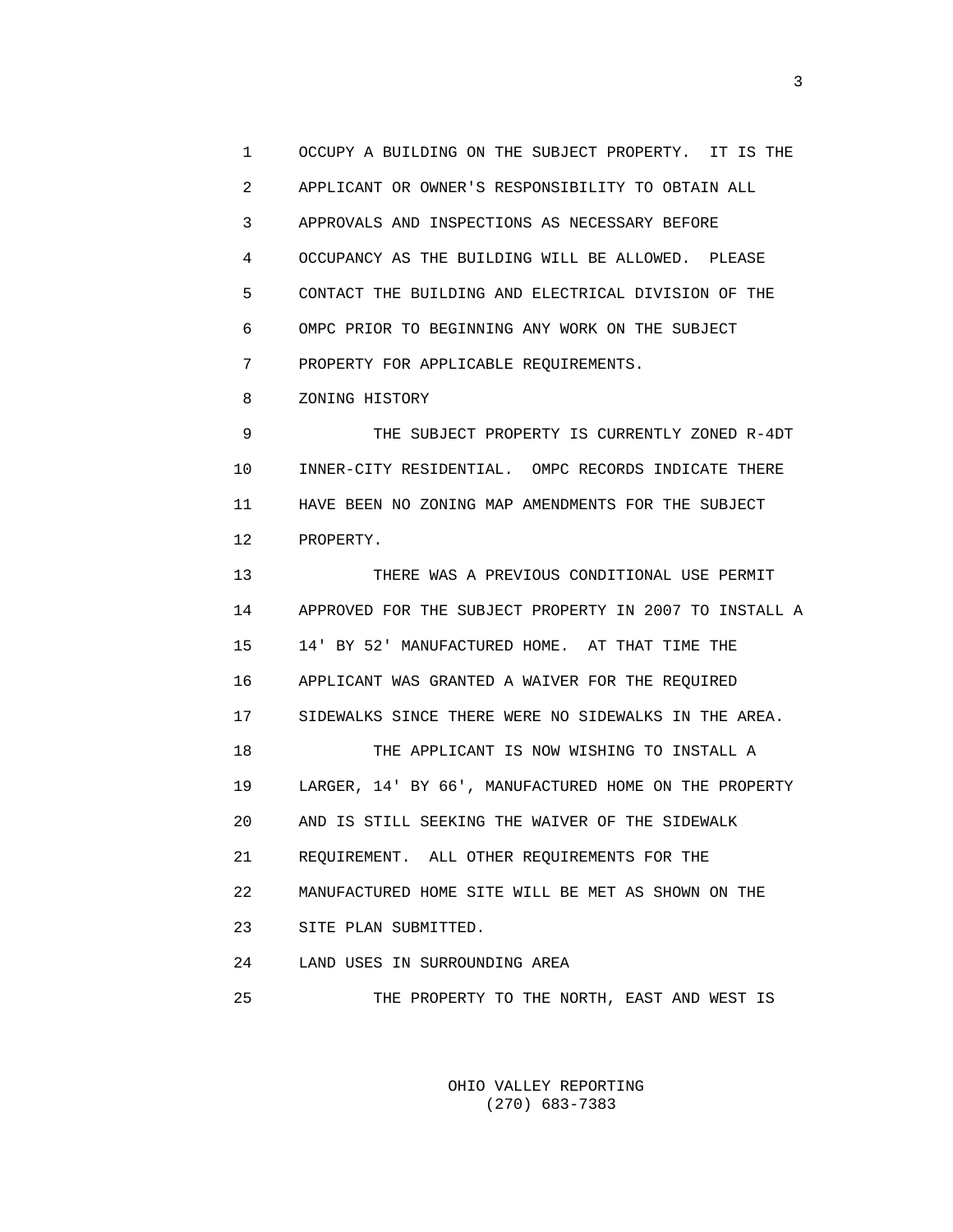1 OCCUPY A BUILDING ON THE SUBJECT PROPERTY. IT IS THE 2 APPLICANT OR OWNER'S RESPONSIBILITY TO OBTAIN ALL 3 APPROVALS AND INSPECTIONS AS NECESSARY BEFORE 4 OCCUPANCY AS THE BUILDING WILL BE ALLOWED. PLEASE 5 CONTACT THE BUILDING AND ELECTRICAL DIVISION OF THE 6 OMPC PRIOR TO BEGINNING ANY WORK ON THE SUBJECT 7 PROPERTY FOR APPLICABLE REQUIREMENTS.

8 ZONING HISTORY

 9 THE SUBJECT PROPERTY IS CURRENTLY ZONED R-4DT 10 INNER-CITY RESIDENTIAL. OMPC RECORDS INDICATE THERE 11 HAVE BEEN NO ZONING MAP AMENDMENTS FOR THE SUBJECT 12 PROPERTY.

 13 THERE WAS A PREVIOUS CONDITIONAL USE PERMIT 14 APPROVED FOR THE SUBJECT PROPERTY IN 2007 TO INSTALL A 15 14' BY 52' MANUFACTURED HOME. AT THAT TIME THE 16 APPLICANT WAS GRANTED A WAIVER FOR THE REQUIRED 17 SIDEWALKS SINCE THERE WERE NO SIDEWALKS IN THE AREA. 18 THE APPLICANT IS NOW WISHING TO INSTALL A 19 LARGER, 14' BY 66', MANUFACTURED HOME ON THE PROPERTY 20 AND IS STILL SEEKING THE WAIVER OF THE SIDEWALK 21 REQUIREMENT. ALL OTHER REQUIREMENTS FOR THE 22 MANUFACTURED HOME SITE WILL BE MET AS SHOWN ON THE 23 SITE PLAN SUBMITTED. 24 LAND USES IN SURROUNDING AREA

25 THE PROPERTY TO THE NORTH, EAST AND WEST IS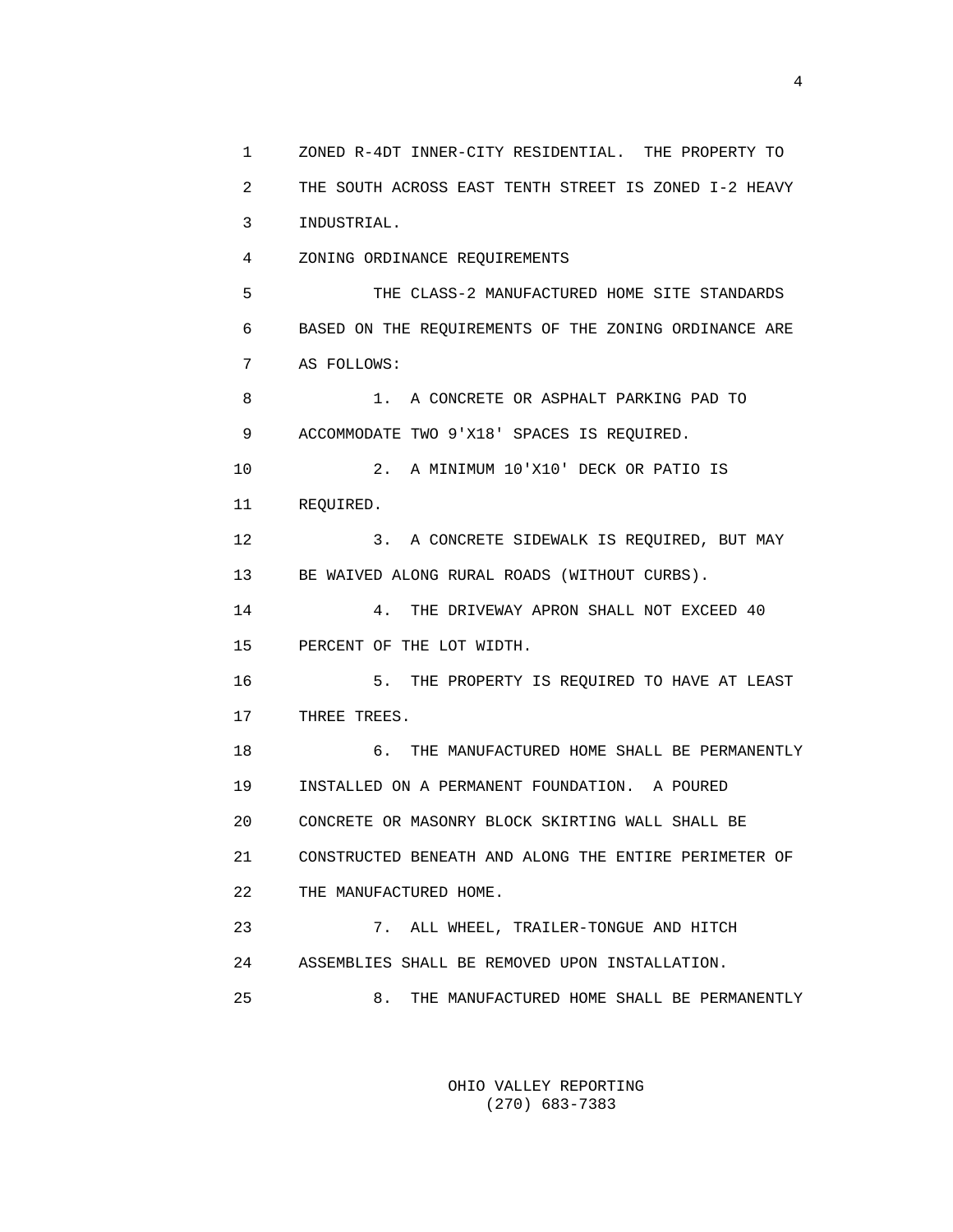1 ZONED R-4DT INNER-CITY RESIDENTIAL. THE PROPERTY TO 2 THE SOUTH ACROSS EAST TENTH STREET IS ZONED I-2 HEAVY 3 INDUSTRIAL. 4 ZONING ORDINANCE REQUIREMENTS 5 THE CLASS-2 MANUFACTURED HOME SITE STANDARDS 6 BASED ON THE REQUIREMENTS OF THE ZONING ORDINANCE ARE 7 AS FOLLOWS: 8 1. A CONCRETE OR ASPHALT PARKING PAD TO 9 ACCOMMODATE TWO 9'X18' SPACES IS REQUIRED. 10 2. A MINIMUM 10'X10' DECK OR PATIO IS 11 REQUIRED. 12 3. A CONCRETE SIDEWALK IS REQUIRED, BUT MAY 13 BE WAIVED ALONG RURAL ROADS (WITHOUT CURBS). 14 4. THE DRIVEWAY APRON SHALL NOT EXCEED 40 15 PERCENT OF THE LOT WIDTH. 16 5. THE PROPERTY IS REQUIRED TO HAVE AT LEAST 17 THREE TREES. 18 6. THE MANUFACTURED HOME SHALL BE PERMANENTLY 19 INSTALLED ON A PERMANENT FOUNDATION. A POURED 20 CONCRETE OR MASONRY BLOCK SKIRTING WALL SHALL BE 21 CONSTRUCTED BENEATH AND ALONG THE ENTIRE PERIMETER OF 22 THE MANUFACTURED HOME. 23 7. ALL WHEEL, TRAILER-TONGUE AND HITCH 24 ASSEMBLIES SHALL BE REMOVED UPON INSTALLATION. 25 8. THE MANUFACTURED HOME SHALL BE PERMANENTLY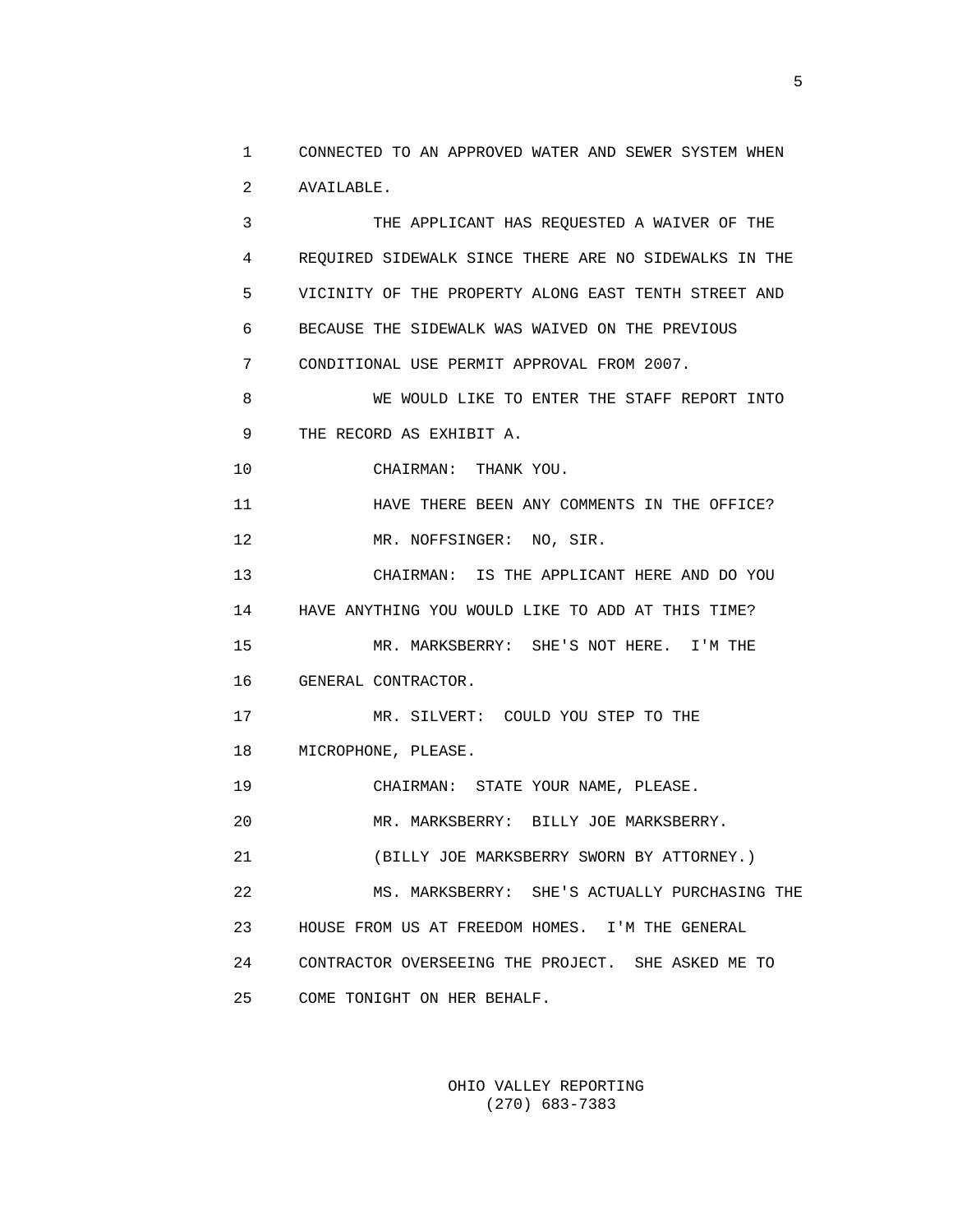1 CONNECTED TO AN APPROVED WATER AND SEWER SYSTEM WHEN 2 AVAILABLE.

 3 THE APPLICANT HAS REQUESTED A WAIVER OF THE 4 REQUIRED SIDEWALK SINCE THERE ARE NO SIDEWALKS IN THE 5 VICINITY OF THE PROPERTY ALONG EAST TENTH STREET AND 6 BECAUSE THE SIDEWALK WAS WAIVED ON THE PREVIOUS 7 CONDITIONAL USE PERMIT APPROVAL FROM 2007. 8 WE WOULD LIKE TO ENTER THE STAFF REPORT INTO 9 THE RECORD AS EXHIBIT A. 10 CHAIRMAN: THANK YOU. 11 HAVE THERE BEEN ANY COMMENTS IN THE OFFICE? 12 MR. NOFFSINGER: NO, SIR. 13 CHAIRMAN: IS THE APPLICANT HERE AND DO YOU 14 HAVE ANYTHING YOU WOULD LIKE TO ADD AT THIS TIME? 15 MR. MARKSBERRY: SHE'S NOT HERE. I'M THE 16 GENERAL CONTRACTOR. 17 MR. SILVERT: COULD YOU STEP TO THE 18 MICROPHONE, PLEASE.

19 CHAIRMAN: STATE YOUR NAME, PLEASE.

20 MR. MARKSBERRY: BILLY JOE MARKSBERRY.

21 (BILLY JOE MARKSBERRY SWORN BY ATTORNEY.)

 22 MS. MARKSBERRY: SHE'S ACTUALLY PURCHASING THE 23 HOUSE FROM US AT FREEDOM HOMES. I'M THE GENERAL 24 CONTRACTOR OVERSEEING THE PROJECT. SHE ASKED ME TO 25 COME TONIGHT ON HER BEHALF.

> OHIO VALLEY REPORTING (270) 683-7383

 $\sim$  5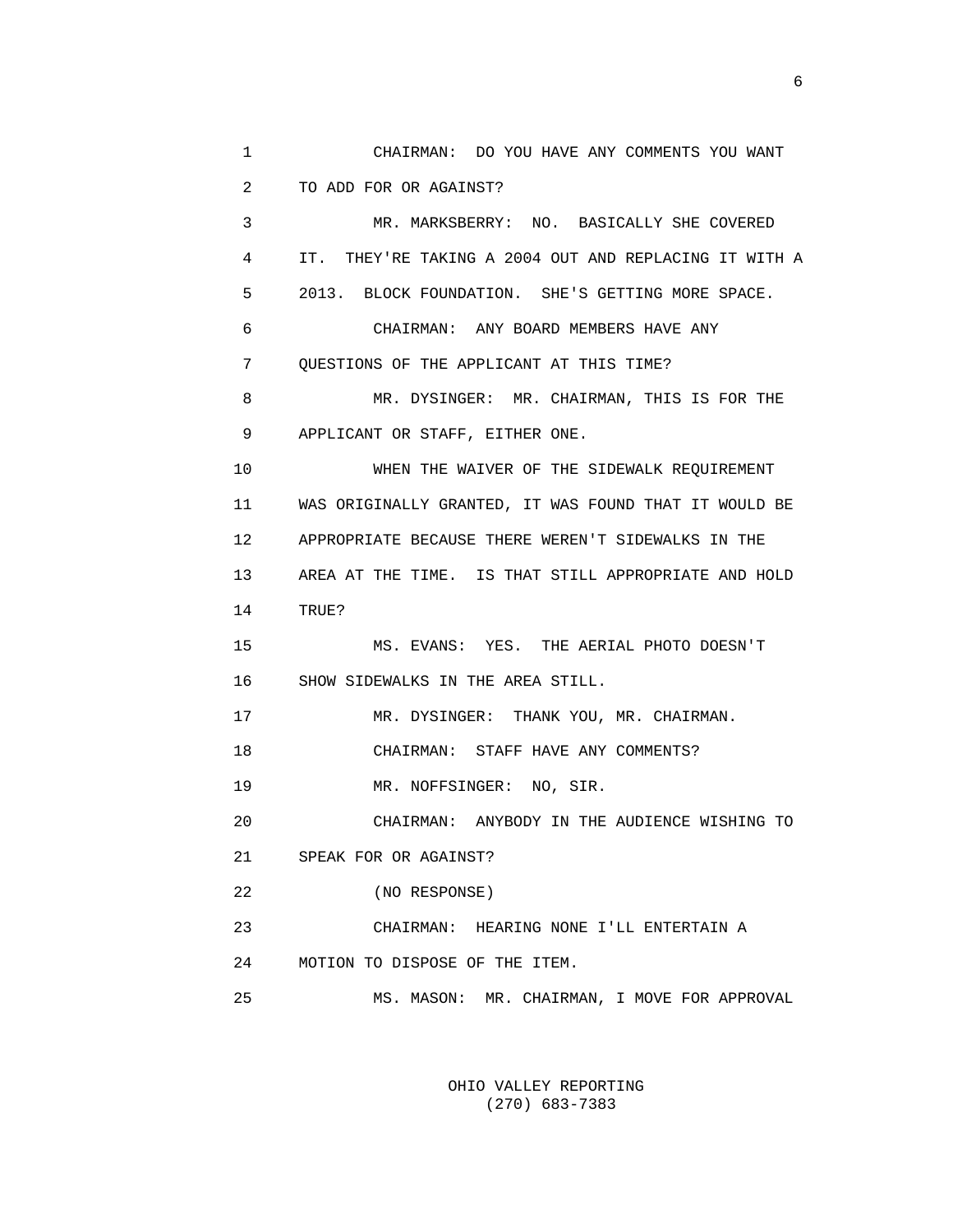1 CHAIRMAN: DO YOU HAVE ANY COMMENTS YOU WANT 2 TO ADD FOR OR AGAINST? 3 MR. MARKSBERRY: NO. BASICALLY SHE COVERED 4 IT. THEY'RE TAKING A 2004 OUT AND REPLACING IT WITH A 5 2013. BLOCK FOUNDATION. SHE'S GETTING MORE SPACE. 6 CHAIRMAN: ANY BOARD MEMBERS HAVE ANY 7 QUESTIONS OF THE APPLICANT AT THIS TIME? 8 MR. DYSINGER: MR. CHAIRMAN, THIS IS FOR THE 9 APPLICANT OR STAFF, EITHER ONE. 10 WHEN THE WAIVER OF THE SIDEWALK REQUIREMENT 11 WAS ORIGINALLY GRANTED, IT WAS FOUND THAT IT WOULD BE 12 APPROPRIATE BECAUSE THERE WEREN'T SIDEWALKS IN THE 13 AREA AT THE TIME. IS THAT STILL APPROPRIATE AND HOLD 14 TRUE? 15 MS. EVANS: YES. THE AERIAL PHOTO DOESN'T 16 SHOW SIDEWALKS IN THE AREA STILL. 17 MR. DYSINGER: THANK YOU, MR. CHAIRMAN. 18 CHAIRMAN: STAFF HAVE ANY COMMENTS? 19 MR. NOFFSINGER: NO, SIR. 20 CHAIRMAN: ANYBODY IN THE AUDIENCE WISHING TO 21 SPEAK FOR OR AGAINST? 22 (NO RESPONSE) 23 CHAIRMAN: HEARING NONE I'LL ENTERTAIN A 24 MOTION TO DISPOSE OF THE ITEM. 25 MS. MASON: MR. CHAIRMAN, I MOVE FOR APPROVAL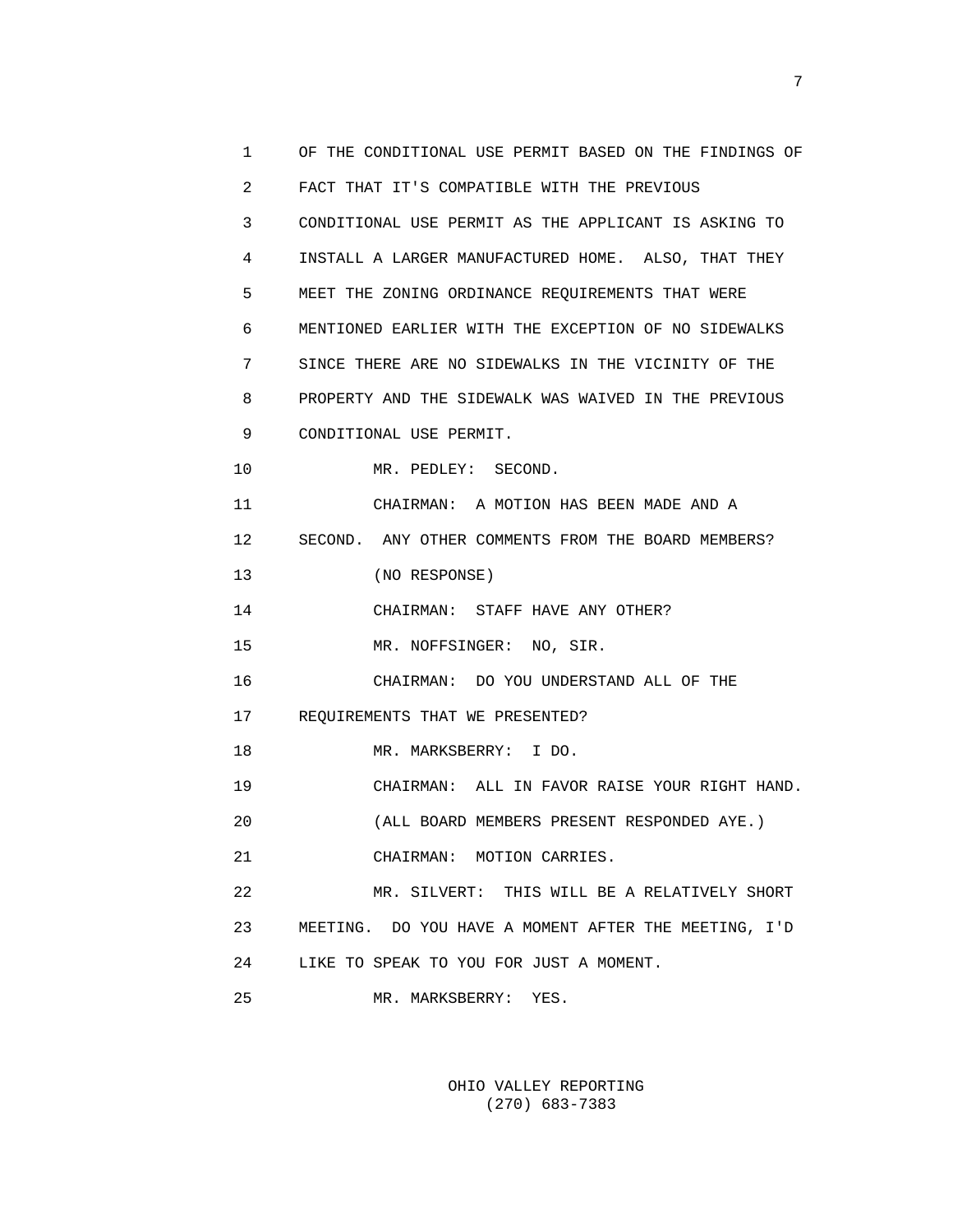| 1              | OF THE CONDITIONAL USE PERMIT BASED ON THE FINDINGS OF |
|----------------|--------------------------------------------------------|
| $\overline{2}$ | FACT THAT IT'S COMPATIBLE WITH THE PREVIOUS            |
| 3              | CONDITIONAL USE PERMIT AS THE APPLICANT IS ASKING TO   |
| 4              | INSTALL A LARGER MANUFACTURED HOME. ALSO, THAT THEY    |
| 5              | MEET THE ZONING ORDINANCE REQUIREMENTS THAT WERE       |
| 6              | MENTIONED EARLIER WITH THE EXCEPTION OF NO SIDEWALKS   |
| 7              | SINCE THERE ARE NO SIDEWALKS IN THE VICINITY OF THE    |
| 8              | PROPERTY AND THE SIDEWALK WAS WAIVED IN THE PREVIOUS   |
| 9              | CONDITIONAL USE PERMIT.                                |
| 10             | MR. PEDLEY: SECOND.                                    |
| 11             | CHAIRMAN: A MOTION HAS BEEN MADE AND A                 |
| 12             | SECOND. ANY OTHER COMMENTS FROM THE BOARD MEMBERS?     |
| 13             | (NO RESPONSE)                                          |
| 14             | CHAIRMAN: STAFF HAVE ANY OTHER?                        |
| 15             | MR. NOFFSINGER: NO, SIR.                               |
| 16             | CHAIRMAN: DO YOU UNDERSTAND ALL OF THE                 |
| 17             | REQUIREMENTS THAT WE PRESENTED?                        |
| 18             | MR. MARKSBERRY: I DO.                                  |
| 19             | CHAIRMAN: ALL IN FAVOR RAISE YOUR RIGHT HAND.          |
| 20             | (ALL BOARD MEMBERS PRESENT RESPONDED AYE.)             |
| 21             | CHAIRMAN: MOTION CARRIES.                              |
| 22             | MR. SILVERT: THIS WILL BE A RELATIVELY SHORT           |
| 23             | MEETING. DO YOU HAVE A MOMENT AFTER THE MEETING, I'D   |
| 24             | LIKE TO SPEAK TO YOU FOR JUST A MOMENT.                |
| 25             | MR. MARKSBERRY:<br>YES.                                |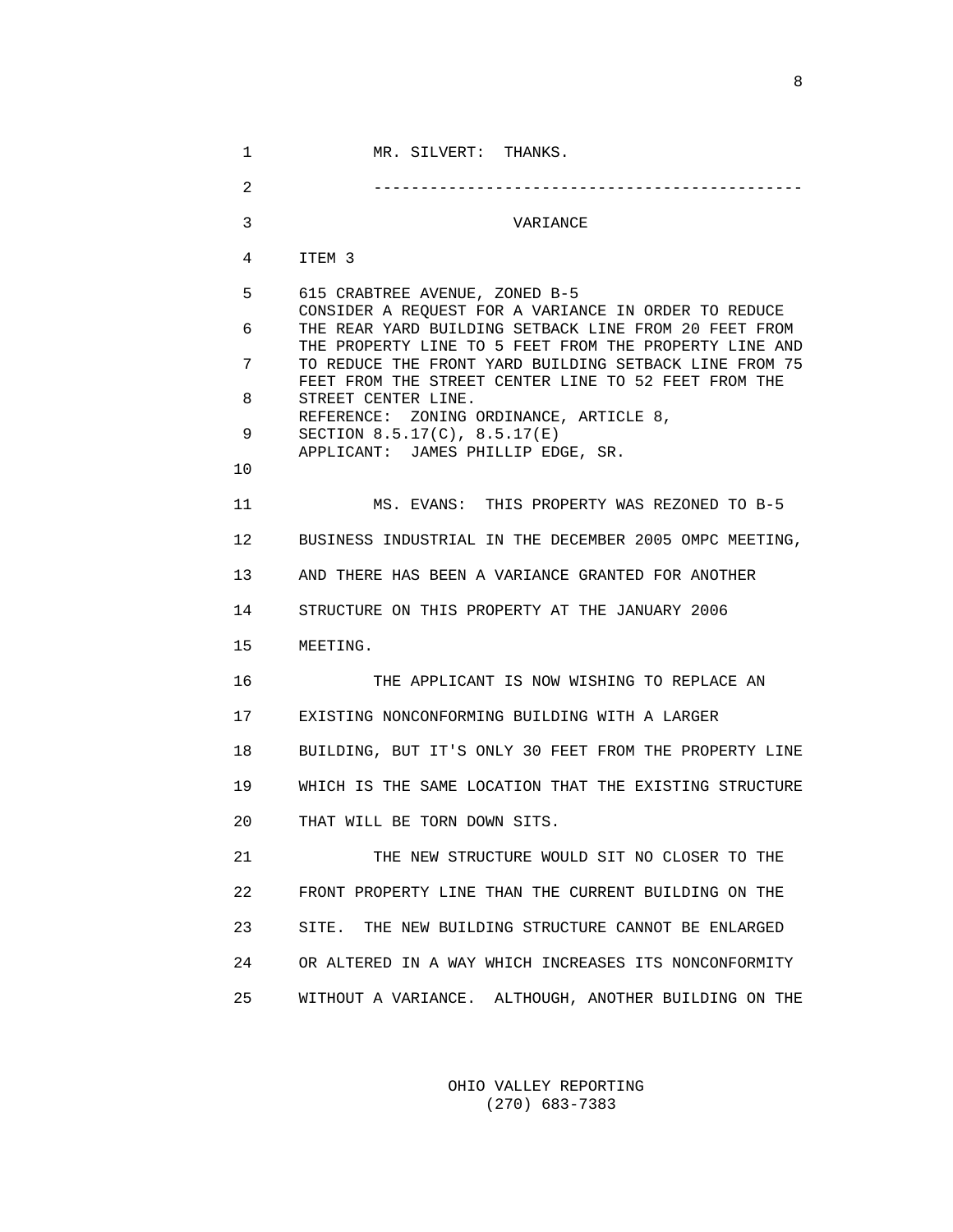1 MR. SILVERT: THANKS. 2 ---------------------------------------------- 3 VARIANCE 4 ITEM 3 5 615 CRABTREE AVENUE, ZONED B-5 CONSIDER A REQUEST FOR A VARIANCE IN ORDER TO REDUCE 6 THE REAR YARD BUILDING SETBACK LINE FROM 20 FEET FROM THE PROPERTY LINE TO 5 FEET FROM THE PROPERTY LINE AND 7 TO REDUCE THE FRONT YARD BUILDING SETBACK LINE FROM 75 FEET FROM THE STREET CENTER LINE TO 52 FEET FROM THE 8 STREET CENTER LINE. REFERENCE: ZONING ORDINANCE, ARTICLE 8, 9 SECTION 8.5.17(C), 8.5.17(E) APPLICANT: JAMES PHILLIP EDGE, SR. 10 11 MS. EVANS: THIS PROPERTY WAS REZONED TO B-5 12 BUSINESS INDUSTRIAL IN THE DECEMBER 2005 OMPC MEETING, 13 AND THERE HAS BEEN A VARIANCE GRANTED FOR ANOTHER 14 STRUCTURE ON THIS PROPERTY AT THE JANUARY 2006 15 MEETING. 16 THE APPLICANT IS NOW WISHING TO REPLACE AN 17 EXISTING NONCONFORMING BUILDING WITH A LARGER 18 BUILDING, BUT IT'S ONLY 30 FEET FROM THE PROPERTY LINE 19 WHICH IS THE SAME LOCATION THAT THE EXISTING STRUCTURE 20 THAT WILL BE TORN DOWN SITS. 21 THE NEW STRUCTURE WOULD SIT NO CLOSER TO THE 22 FRONT PROPERTY LINE THAN THE CURRENT BUILDING ON THE 23 SITE. THE NEW BUILDING STRUCTURE CANNOT BE ENLARGED 24 OR ALTERED IN A WAY WHICH INCREASES ITS NONCONFORMITY 25 WITHOUT A VARIANCE. ALTHOUGH, ANOTHER BUILDING ON THE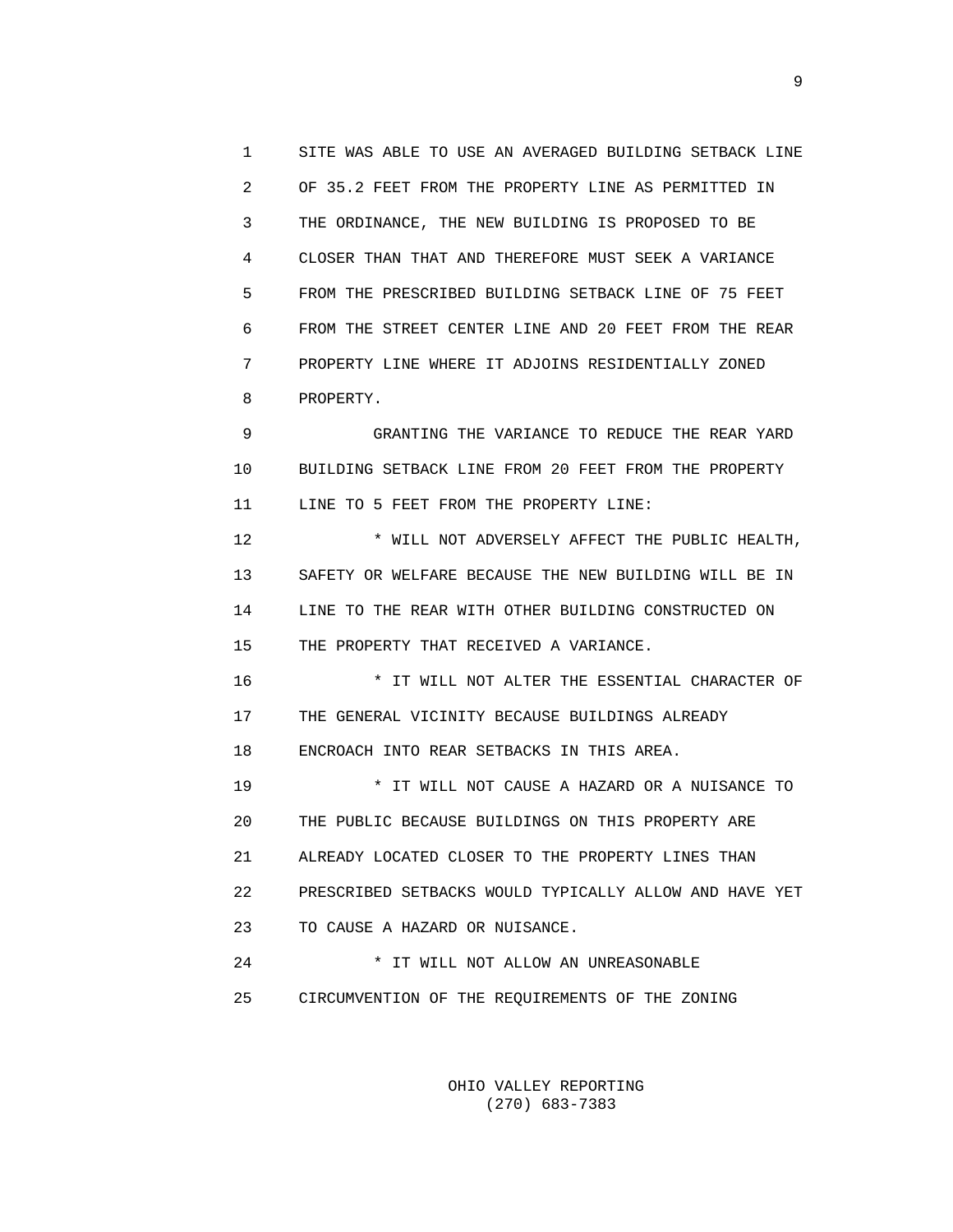1 SITE WAS ABLE TO USE AN AVERAGED BUILDING SETBACK LINE 2 OF 35.2 FEET FROM THE PROPERTY LINE AS PERMITTED IN 3 THE ORDINANCE, THE NEW BUILDING IS PROPOSED TO BE 4 CLOSER THAN THAT AND THEREFORE MUST SEEK A VARIANCE 5 FROM THE PRESCRIBED BUILDING SETBACK LINE OF 75 FEET 6 FROM THE STREET CENTER LINE AND 20 FEET FROM THE REAR 7 PROPERTY LINE WHERE IT ADJOINS RESIDENTIALLY ZONED 8 PROPERTY.

 9 GRANTING THE VARIANCE TO REDUCE THE REAR YARD 10 BUILDING SETBACK LINE FROM 20 FEET FROM THE PROPERTY 11 LINE TO 5 FEET FROM THE PROPERTY LINE:

 12 \* WILL NOT ADVERSELY AFFECT THE PUBLIC HEALTH, 13 SAFETY OR WELFARE BECAUSE THE NEW BUILDING WILL BE IN 14 LINE TO THE REAR WITH OTHER BUILDING CONSTRUCTED ON 15 THE PROPERTY THAT RECEIVED A VARIANCE.

 16 \* IT WILL NOT ALTER THE ESSENTIAL CHARACTER OF 17 THE GENERAL VICINITY BECAUSE BUILDINGS ALREADY 18 ENCROACH INTO REAR SETBACKS IN THIS AREA.

 19 \* IT WILL NOT CAUSE A HAZARD OR A NUISANCE TO 20 THE PUBLIC BECAUSE BUILDINGS ON THIS PROPERTY ARE 21 ALREADY LOCATED CLOSER TO THE PROPERTY LINES THAN 22 PRESCRIBED SETBACKS WOULD TYPICALLY ALLOW AND HAVE YET 23 TO CAUSE A HAZARD OR NUISANCE.

 24 \* IT WILL NOT ALLOW AN UNREASONABLE 25 CIRCUMVENTION OF THE REQUIREMENTS OF THE ZONING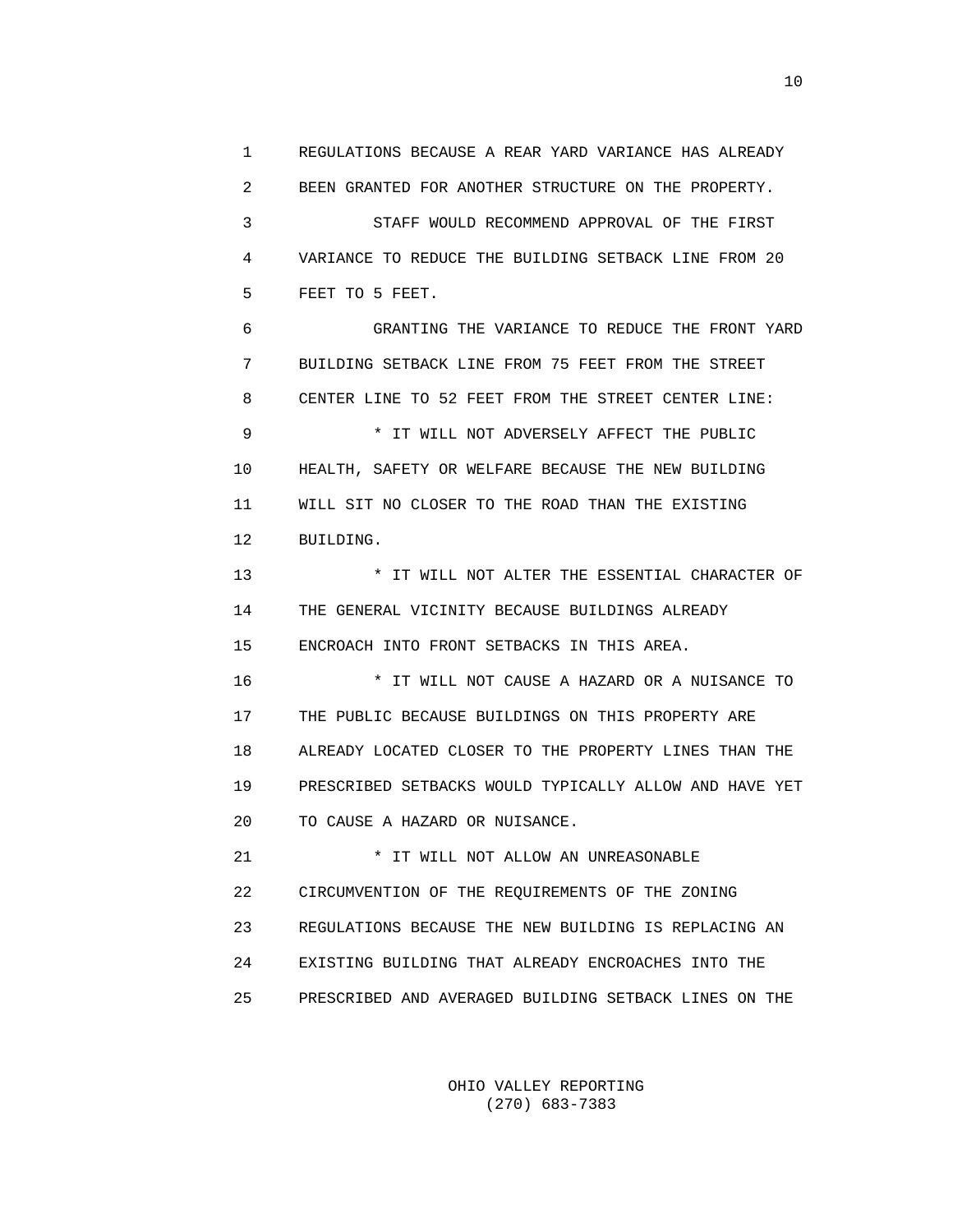1 REGULATIONS BECAUSE A REAR YARD VARIANCE HAS ALREADY 2 BEEN GRANTED FOR ANOTHER STRUCTURE ON THE PROPERTY. 3 STAFF WOULD RECOMMEND APPROVAL OF THE FIRST 4 VARIANCE TO REDUCE THE BUILDING SETBACK LINE FROM 20 5 FEET TO 5 FEET.

 6 GRANTING THE VARIANCE TO REDUCE THE FRONT YARD 7 BUILDING SETBACK LINE FROM 75 FEET FROM THE STREET 8 CENTER LINE TO 52 FEET FROM THE STREET CENTER LINE: 9 \* IT WILL NOT ADVERSELY AFFECT THE PUBLIC 10 HEALTH, SAFETY OR WELFARE BECAUSE THE NEW BUILDING 11 WILL SIT NO CLOSER TO THE ROAD THAN THE EXISTING

12 BUILDING.

 13 \* IT WILL NOT ALTER THE ESSENTIAL CHARACTER OF 14 THE GENERAL VICINITY BECAUSE BUILDINGS ALREADY 15 ENCROACH INTO FRONT SETBACKS IN THIS AREA.

 16 \* IT WILL NOT CAUSE A HAZARD OR A NUISANCE TO 17 THE PUBLIC BECAUSE BUILDINGS ON THIS PROPERTY ARE 18 ALREADY LOCATED CLOSER TO THE PROPERTY LINES THAN THE 19 PRESCRIBED SETBACKS WOULD TYPICALLY ALLOW AND HAVE YET 20 TO CAUSE A HAZARD OR NUISANCE.

 21 \* IT WILL NOT ALLOW AN UNREASONABLE 22 CIRCUMVENTION OF THE REQUIREMENTS OF THE ZONING 23 REGULATIONS BECAUSE THE NEW BUILDING IS REPLACING AN 24 EXISTING BUILDING THAT ALREADY ENCROACHES INTO THE 25 PRESCRIBED AND AVERAGED BUILDING SETBACK LINES ON THE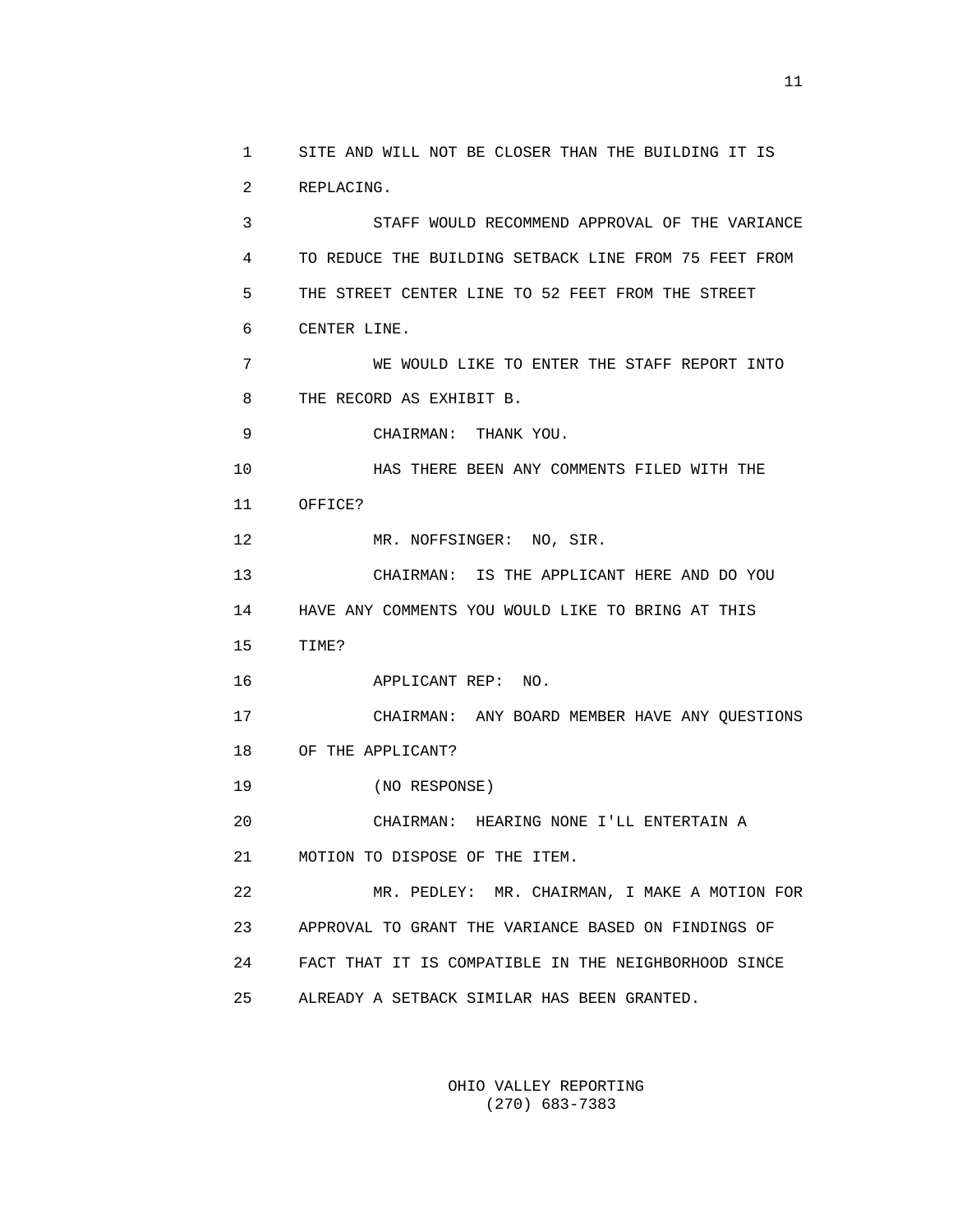1 SITE AND WILL NOT BE CLOSER THAN THE BUILDING IT IS 2 REPLACING. 3 STAFF WOULD RECOMMEND APPROVAL OF THE VARIANCE 4 TO REDUCE THE BUILDING SETBACK LINE FROM 75 FEET FROM 5 THE STREET CENTER LINE TO 52 FEET FROM THE STREET 6 CENTER LINE. 7 WE WOULD LIKE TO ENTER THE STAFF REPORT INTO 8 THE RECORD AS EXHIBIT B. 9 CHAIRMAN: THANK YOU. 10 HAS THERE BEEN ANY COMMENTS FILED WITH THE 11 OFFICE? 12 MR. NOFFSINGER: NO, SIR. 13 CHAIRMAN: IS THE APPLICANT HERE AND DO YOU 14 HAVE ANY COMMENTS YOU WOULD LIKE TO BRING AT THIS 15 TIME? 16 APPLICANT REP: NO. 17 CHAIRMAN: ANY BOARD MEMBER HAVE ANY QUESTIONS 18 OF THE APPLICANT? 19 (NO RESPONSE) 20 CHAIRMAN: HEARING NONE I'LL ENTERTAIN A 21 MOTION TO DISPOSE OF THE ITEM. 22 MR. PEDLEY: MR. CHAIRMAN, I MAKE A MOTION FOR 23 APPROVAL TO GRANT THE VARIANCE BASED ON FINDINGS OF 24 FACT THAT IT IS COMPATIBLE IN THE NEIGHBORHOOD SINCE 25 ALREADY A SETBACK SIMILAR HAS BEEN GRANTED.

> OHIO VALLEY REPORTING (270) 683-7383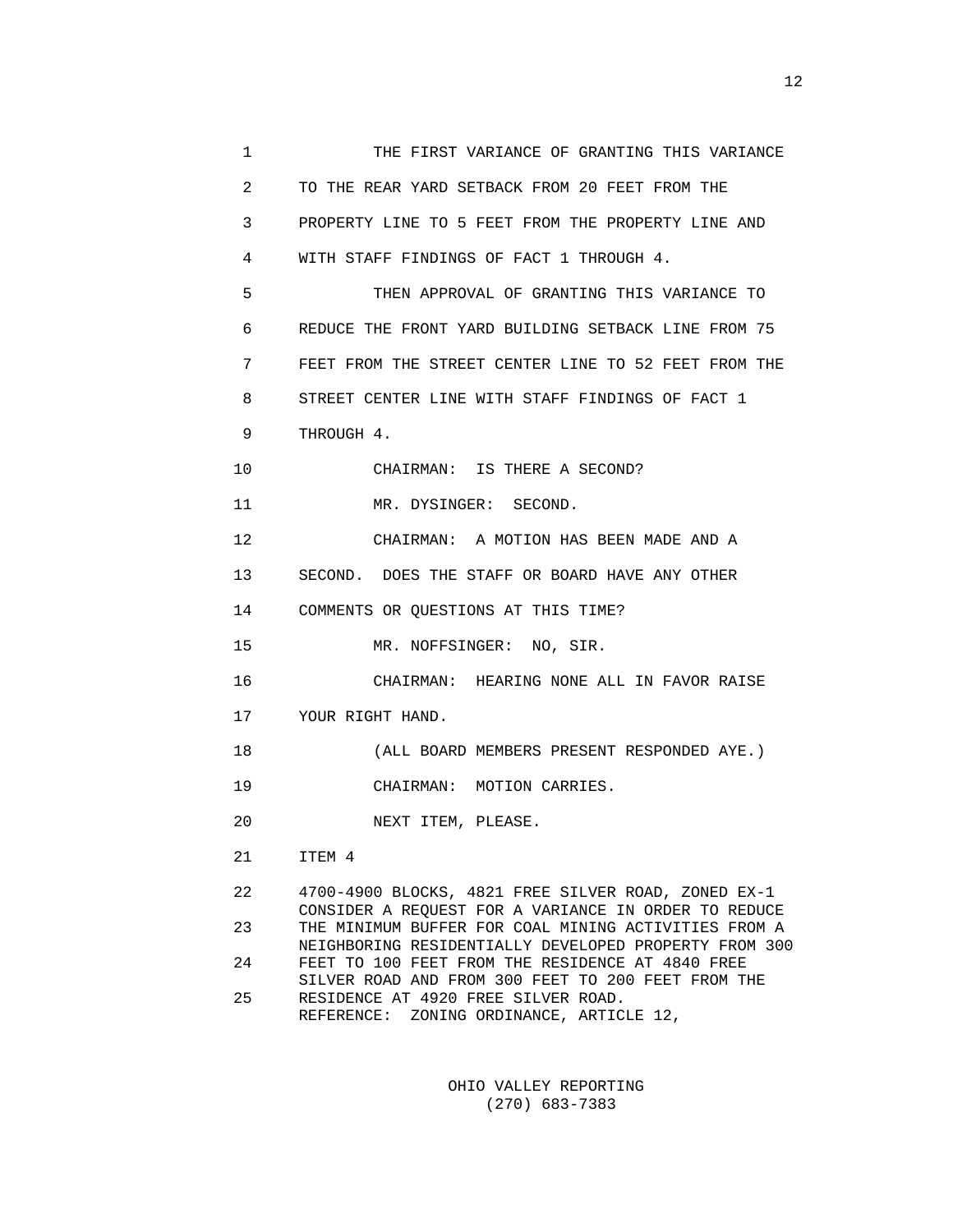| 1            | THE FIRST VARIANCE OF GRANTING THIS VARIANCE                                                                  |
|--------------|---------------------------------------------------------------------------------------------------------------|
| $\mathbf{2}$ | TO THE REAR YARD SETBACK FROM 20 FEET FROM THE                                                                |
| 3            | PROPERTY LINE TO 5 FEET FROM THE PROPERTY LINE AND                                                            |
| 4            | WITH STAFF FINDINGS OF FACT 1 THROUGH 4.                                                                      |
| 5            | THEN APPROVAL OF GRANTING THIS VARIANCE TO                                                                    |
| 6            | REDUCE THE FRONT YARD BUILDING SETBACK LINE FROM 75                                                           |
| 7            | FEET FROM THE STREET CENTER LINE TO 52 FEET FROM THE                                                          |
| 8            | STREET CENTER LINE WITH STAFF FINDINGS OF FACT 1                                                              |
| 9            | THROUGH 4.                                                                                                    |
| 10           | CHAIRMAN: IS THERE A SECOND?                                                                                  |
| 11           | MR. DYSINGER: SECOND.                                                                                         |
| 12           | CHAIRMAN: A MOTION HAS BEEN MADE AND A                                                                        |
| 13           | SECOND. DOES THE STAFF OR BOARD HAVE ANY OTHER                                                                |
| 14           | COMMENTS OR QUESTIONS AT THIS TIME?                                                                           |
| 15           | MR. NOFFSINGER: NO, SIR.                                                                                      |
| 16           | CHAIRMAN: HEARING NONE ALL IN FAVOR RAISE                                                                     |
| 17           | YOUR RIGHT HAND.                                                                                              |
| 18           | (ALL BOARD MEMBERS PRESENT RESPONDED AYE.)                                                                    |
| 19           | CHAIRMAN: MOTION CARRIES.                                                                                     |
| 20           | NEXT ITEM, PLEASE.                                                                                            |
| 21           | ITEM 4                                                                                                        |
| 22           | 4700-4900 BLOCKS, 4821 FREE SILVER ROAD, ZONED EX-1<br>CONSIDER A REQUEST FOR A VARIANCE IN ORDER TO REDUCE   |
| 23           | THE MINIMUM BUFFER FOR COAL MINING ACTIVITIES FROM A<br>NEIGHBORING RESIDENTIALLY DEVELOPED PROPERTY FROM 300 |
| 24           | FEET TO 100 FEET FROM THE RESIDENCE AT 4840 FREE                                                              |

SILVER ROAD AND FROM 300 FEET TO 200 FEET FROM THE 25 RESIDENCE AT 4920 FREE SILVER ROAD. 25 RESIDENCE AT 4920 FREE SILVER ROAD. REFERENCE: ZONING ORDINANCE, ARTICLE 12,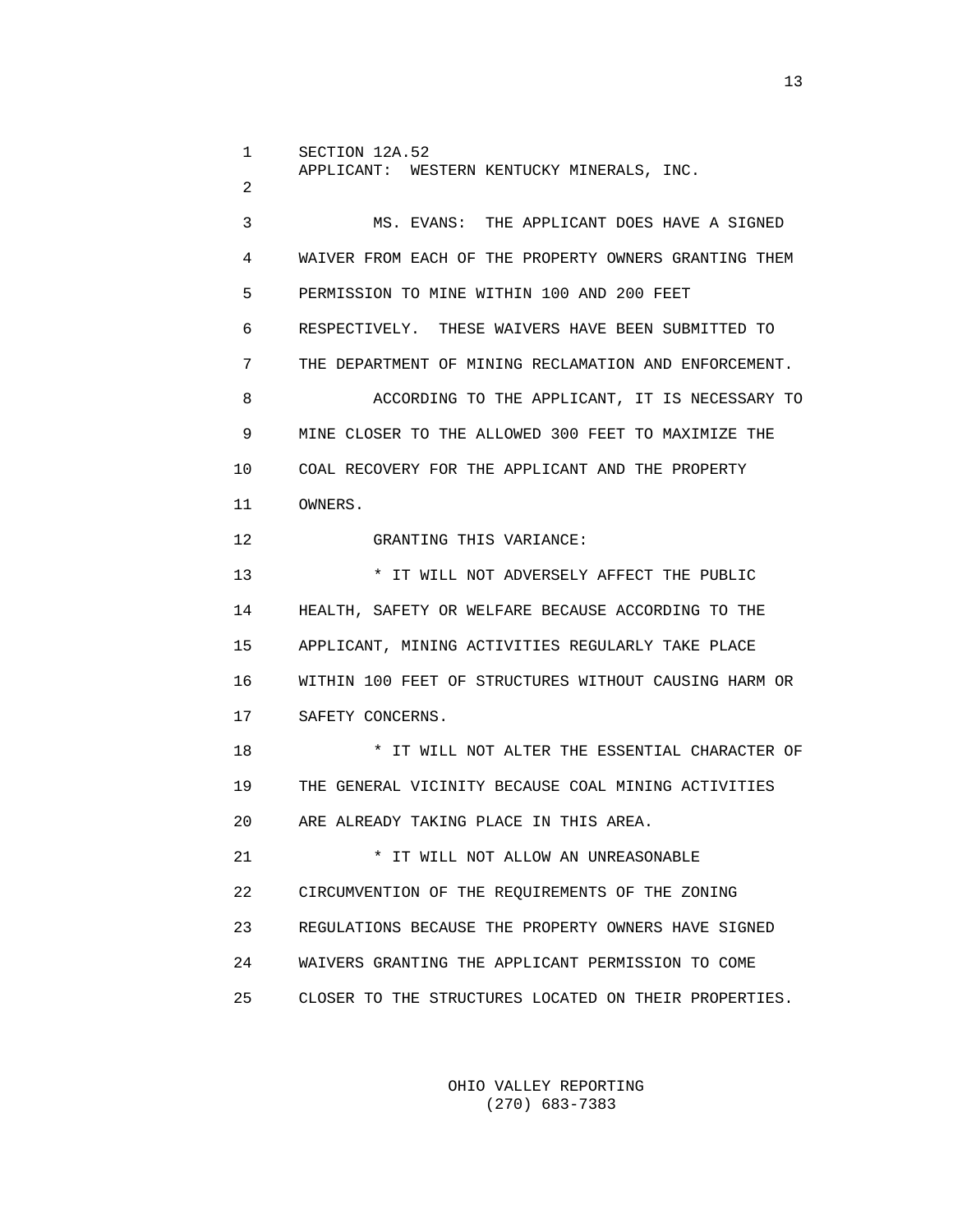1 SECTION 12A.52 APPLICANT: WESTERN KENTUCKY MINERALS, INC.

2

 3 MS. EVANS: THE APPLICANT DOES HAVE A SIGNED 4 WAIVER FROM EACH OF THE PROPERTY OWNERS GRANTING THEM 5 PERMISSION TO MINE WITHIN 100 AND 200 FEET 6 RESPECTIVELY. THESE WAIVERS HAVE BEEN SUBMITTED TO 7 THE DEPARTMENT OF MINING RECLAMATION AND ENFORCEMENT. 8 ACCORDING TO THE APPLICANT, IT IS NECESSARY TO 9 MINE CLOSER TO THE ALLOWED 300 FEET TO MAXIMIZE THE 10 COAL RECOVERY FOR THE APPLICANT AND THE PROPERTY 11 OWNERS. 12 GRANTING THIS VARIANCE: 13 **\* IT WILL NOT ADVERSELY AFFECT THE PUBLIC**  14 HEALTH, SAFETY OR WELFARE BECAUSE ACCORDING TO THE 15 APPLICANT, MINING ACTIVITIES REGULARLY TAKE PLACE 16 WITHIN 100 FEET OF STRUCTURES WITHOUT CAUSING HARM OR 17 SAFETY CONCERNS. 18 \* IT WILL NOT ALTER THE ESSENTIAL CHARACTER OF 19 THE GENERAL VICINITY BECAUSE COAL MINING ACTIVITIES 20 ARE ALREADY TAKING PLACE IN THIS AREA. 21 \* IT WILL NOT ALLOW AN UNREASONABLE 22 CIRCUMVENTION OF THE REQUIREMENTS OF THE ZONING 23 REGULATIONS BECAUSE THE PROPERTY OWNERS HAVE SIGNED 24 WAIVERS GRANTING THE APPLICANT PERMISSION TO COME

> OHIO VALLEY REPORTING (270) 683-7383

25 CLOSER TO THE STRUCTURES LOCATED ON THEIR PROPERTIES.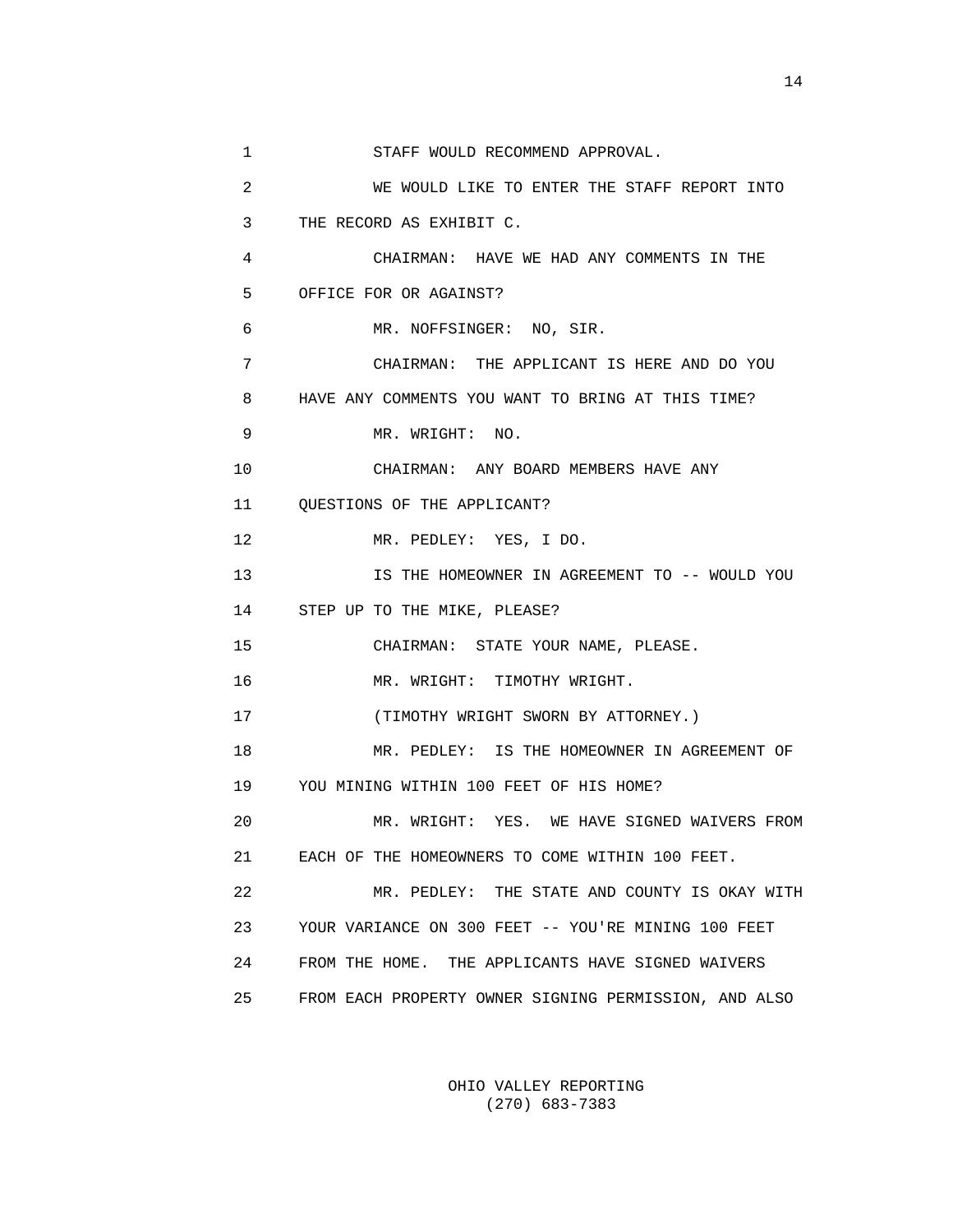1 STAFF WOULD RECOMMEND APPROVAL. 2 WE WOULD LIKE TO ENTER THE STAFF REPORT INTO 3 THE RECORD AS EXHIBIT C. 4 CHAIRMAN: HAVE WE HAD ANY COMMENTS IN THE 5 OFFICE FOR OR AGAINST? 6 MR. NOFFSINGER: NO, SIR. 7 CHAIRMAN: THE APPLICANT IS HERE AND DO YOU 8 HAVE ANY COMMENTS YOU WANT TO BRING AT THIS TIME? 9 MR. WRIGHT: NO. 10 CHAIRMAN: ANY BOARD MEMBERS HAVE ANY 11 QUESTIONS OF THE APPLICANT? 12 MR. PEDLEY: YES, I DO. 13 IS THE HOMEOWNER IN AGREEMENT TO -- WOULD YOU 14 STEP UP TO THE MIKE, PLEASE? 15 CHAIRMAN: STATE YOUR NAME, PLEASE. 16 MR. WRIGHT: TIMOTHY WRIGHT. 17 (TIMOTHY WRIGHT SWORN BY ATTORNEY.) 18 MR. PEDLEY: IS THE HOMEOWNER IN AGREEMENT OF 19 YOU MINING WITHIN 100 FEET OF HIS HOME? 20 MR. WRIGHT: YES. WE HAVE SIGNED WAIVERS FROM 21 EACH OF THE HOMEOWNERS TO COME WITHIN 100 FEET. 22 MR. PEDLEY: THE STATE AND COUNTY IS OKAY WITH 23 YOUR VARIANCE ON 300 FEET -- YOU'RE MINING 100 FEET 24 FROM THE HOME. THE APPLICANTS HAVE SIGNED WAIVERS 25 FROM EACH PROPERTY OWNER SIGNING PERMISSION, AND ALSO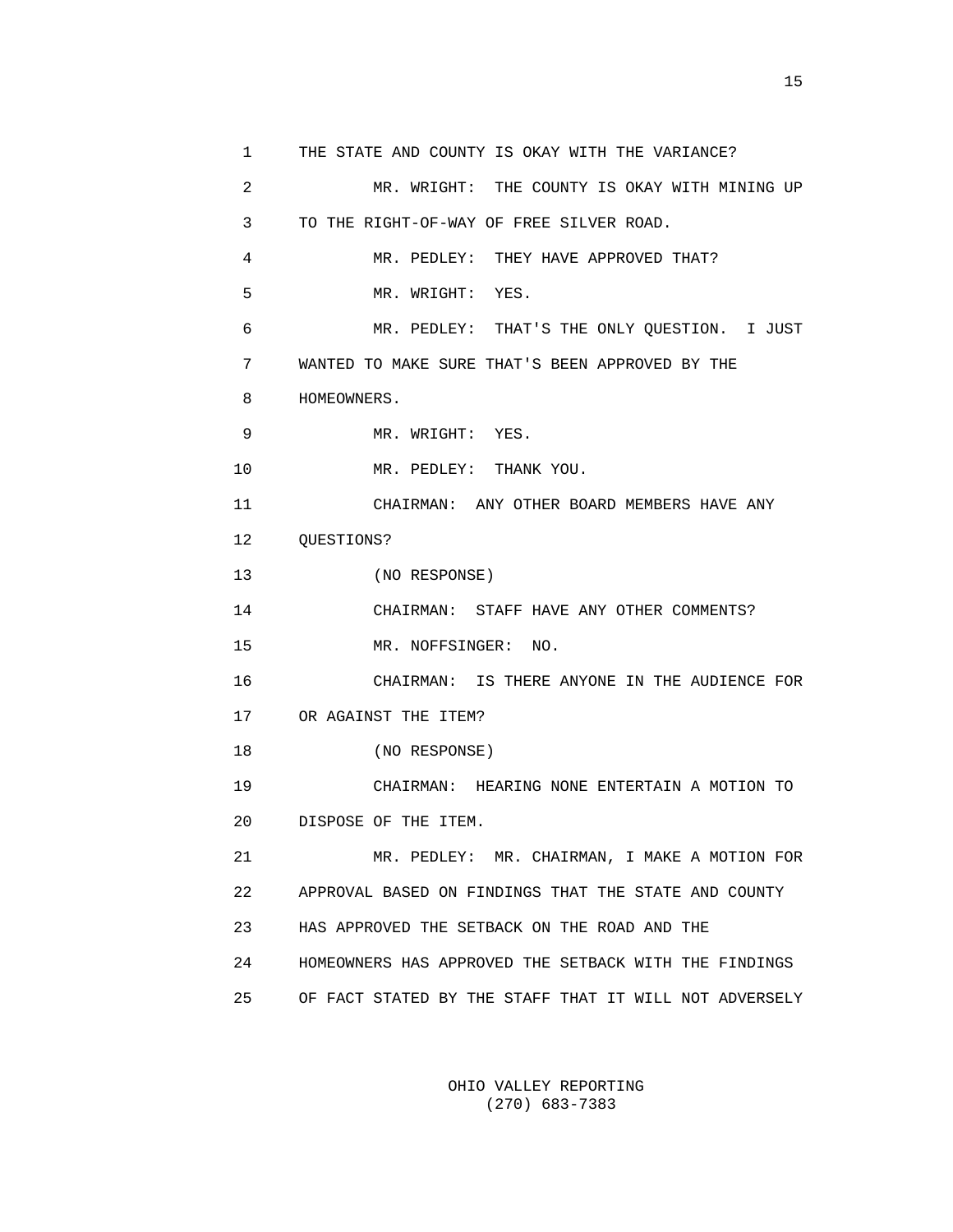1 THE STATE AND COUNTY IS OKAY WITH THE VARIANCE? 2 MR. WRIGHT: THE COUNTY IS OKAY WITH MINING UP 3 TO THE RIGHT-OF-WAY OF FREE SILVER ROAD. 4 MR. PEDLEY: THEY HAVE APPROVED THAT? 5 MR. WRIGHT: YES. 6 MR. PEDLEY: THAT'S THE ONLY QUESTION. I JUST 7 WANTED TO MAKE SURE THAT'S BEEN APPROVED BY THE 8 HOMEOWNERS. 9 MR. WRIGHT: YES. 10 MR. PEDLEY: THANK YOU. 11 CHAIRMAN: ANY OTHER BOARD MEMBERS HAVE ANY 12 QUESTIONS? 13 (NO RESPONSE) 14 CHAIRMAN: STAFF HAVE ANY OTHER COMMENTS? 15 MR. NOFFSINGER: NO. 16 CHAIRMAN: IS THERE ANYONE IN THE AUDIENCE FOR 17 OR AGAINST THE ITEM? 18 (NO RESPONSE) 19 CHAIRMAN: HEARING NONE ENTERTAIN A MOTION TO 20 DISPOSE OF THE ITEM. 21 MR. PEDLEY: MR. CHAIRMAN, I MAKE A MOTION FOR 22 APPROVAL BASED ON FINDINGS THAT THE STATE AND COUNTY 23 HAS APPROVED THE SETBACK ON THE ROAD AND THE 24 HOMEOWNERS HAS APPROVED THE SETBACK WITH THE FINDINGS 25 OF FACT STATED BY THE STAFF THAT IT WILL NOT ADVERSELY

> OHIO VALLEY REPORTING (270) 683-7383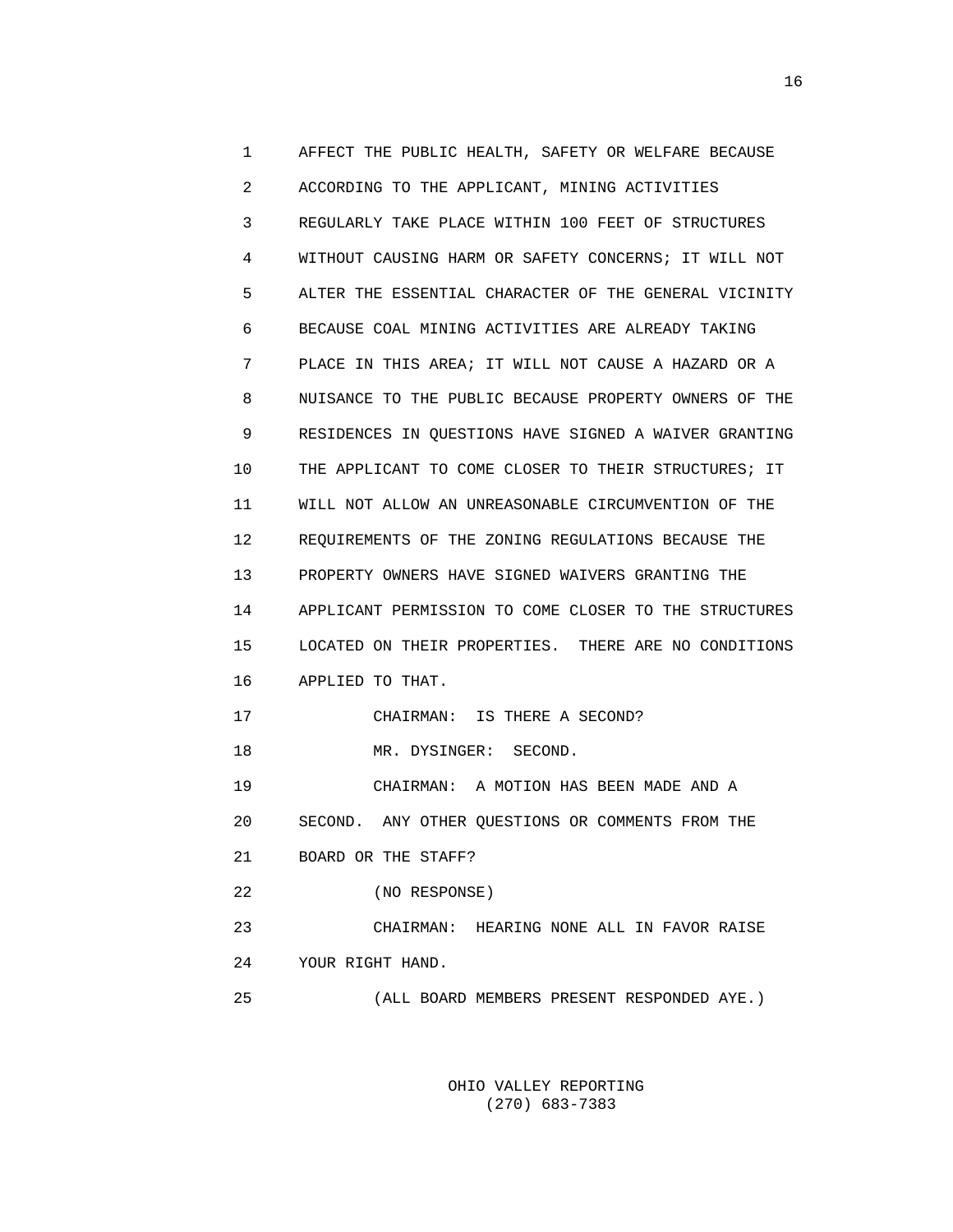1 AFFECT THE PUBLIC HEALTH, SAFETY OR WELFARE BECAUSE 2 ACCORDING TO THE APPLICANT, MINING ACTIVITIES 3 REGULARLY TAKE PLACE WITHIN 100 FEET OF STRUCTURES 4 WITHOUT CAUSING HARM OR SAFETY CONCERNS; IT WILL NOT 5 ALTER THE ESSENTIAL CHARACTER OF THE GENERAL VICINITY 6 BECAUSE COAL MINING ACTIVITIES ARE ALREADY TAKING 7 PLACE IN THIS AREA; IT WILL NOT CAUSE A HAZARD OR A 8 NUISANCE TO THE PUBLIC BECAUSE PROPERTY OWNERS OF THE 9 RESIDENCES IN QUESTIONS HAVE SIGNED A WAIVER GRANTING 10 THE APPLICANT TO COME CLOSER TO THEIR STRUCTURES; IT 11 WILL NOT ALLOW AN UNREASONABLE CIRCUMVENTION OF THE 12 REQUIREMENTS OF THE ZONING REGULATIONS BECAUSE THE 13 PROPERTY OWNERS HAVE SIGNED WAIVERS GRANTING THE 14 APPLICANT PERMISSION TO COME CLOSER TO THE STRUCTURES 15 LOCATED ON THEIR PROPERTIES. THERE ARE NO CONDITIONS 16 APPLIED TO THAT. 17 CHAIRMAN: IS THERE A SECOND? 18 MR. DYSINGER: SECOND. 19 CHAIRMAN: A MOTION HAS BEEN MADE AND A 20 SECOND. ANY OTHER QUESTIONS OR COMMENTS FROM THE 21 BOARD OR THE STAFF? 22 (NO RESPONSE) 23 CHAIRMAN: HEARING NONE ALL IN FAVOR RAISE 24 YOUR RIGHT HAND. 25 (ALL BOARD MEMBERS PRESENT RESPONDED AYE.)

> OHIO VALLEY REPORTING (270) 683-7383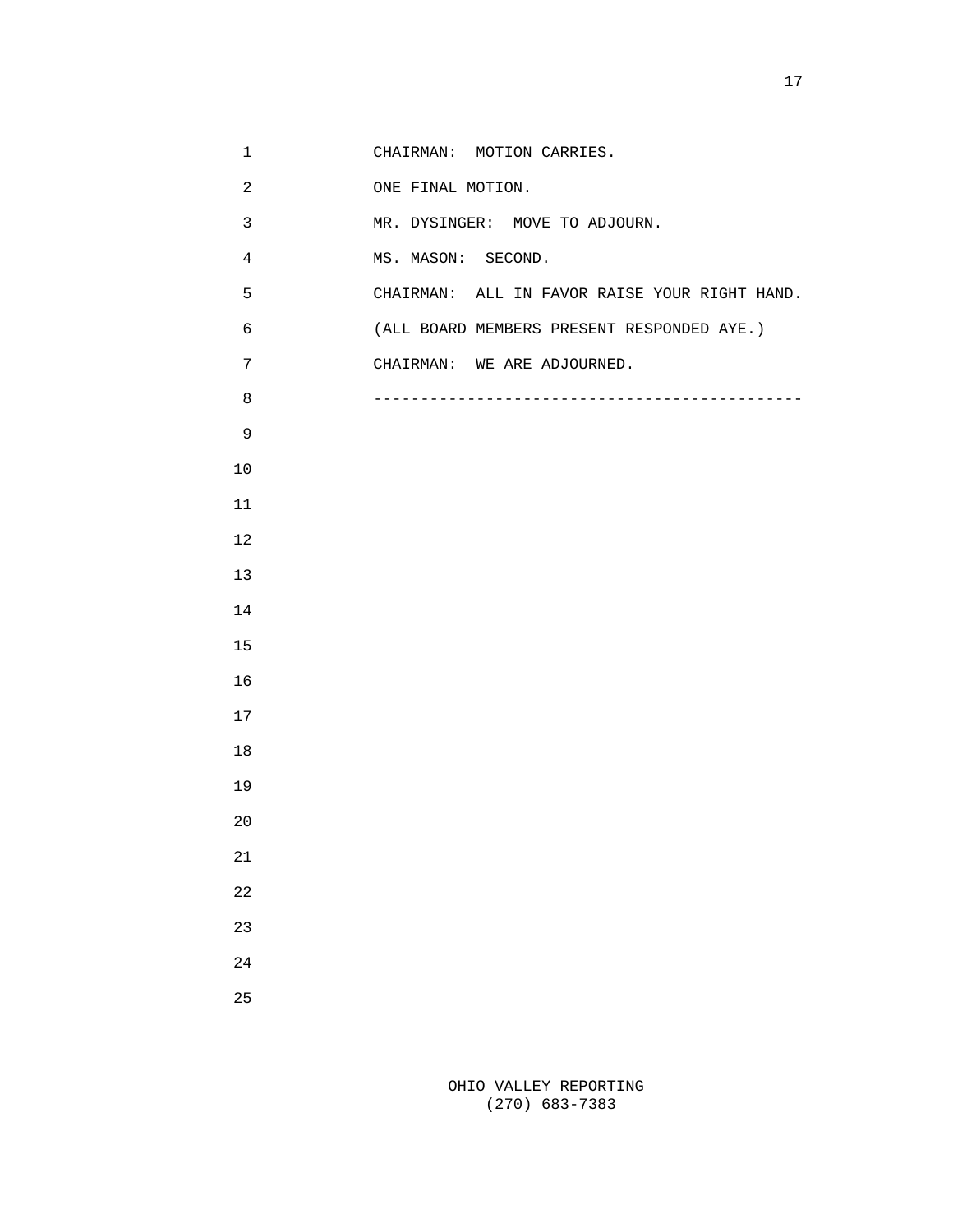| $\mathbf 1$    | CHAIRMAN: MOTION CARRIES.                     |
|----------------|-----------------------------------------------|
| $\overline{a}$ | ONE FINAL MOTION.                             |
| $\mathfrak{Z}$ | MR. DYSINGER: MOVE TO ADJOURN.                |
| $\overline{4}$ | MS. MASON: SECOND.                            |
| 5              | CHAIRMAN: ALL IN FAVOR RAISE YOUR RIGHT HAND. |
| 6              | (ALL BOARD MEMBERS PRESENT RESPONDED AYE.)    |
| $\overline{7}$ | CHAIRMAN: WE ARE ADJOURNED.                   |
| 8              |                                               |
| 9              |                                               |
| $10$           |                                               |
| 11             |                                               |
| 12             |                                               |
| 13             |                                               |
| 14             |                                               |
| 15             |                                               |
| 16             |                                               |
| 17             |                                               |
| 18             |                                               |
| 19             |                                               |
| $20$           |                                               |
| 21             |                                               |
| 22             |                                               |
| 23             |                                               |
| 24             |                                               |
| 25             |                                               |